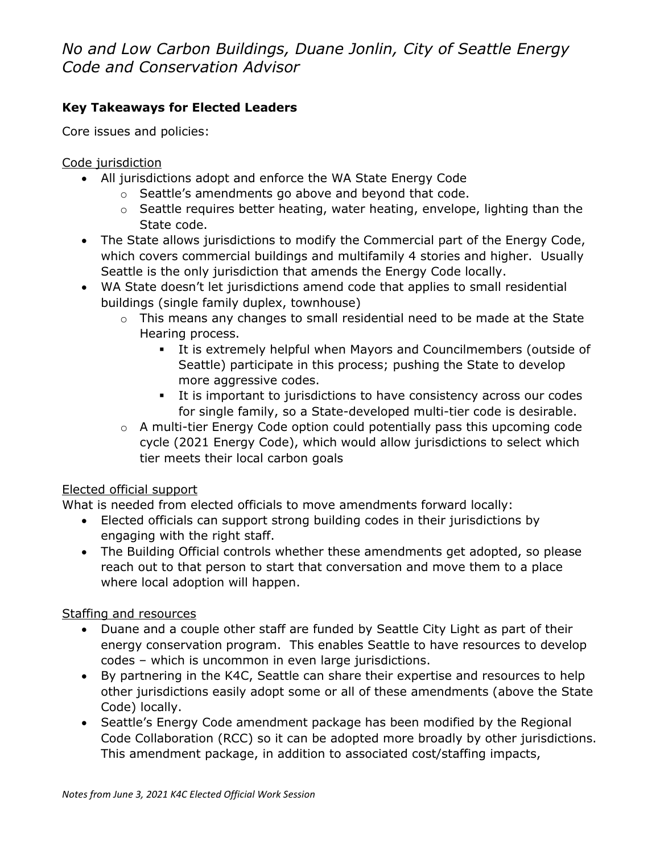*No and Low Carbon Buildings, Duane Jonlin, City of Seattle Energy Code and Conservation Advisor*

## **Key Takeaways for Elected Leaders**

Core issues and policies:

Code jurisdiction

- All jurisdictions adopt and enforce the WA State Energy Code
	- o Seattle's amendments go above and beyond that code.
	- o Seattle requires better heating, water heating, envelope, lighting than the State code.
- The State allows jurisdictions to modify the Commercial part of the Energy Code, which covers commercial buildings and multifamily 4 stories and higher. Usually Seattle is the only jurisdiction that amends the Energy Code locally.
- WA State doesn't let jurisdictions amend code that applies to small residential buildings (single family duplex, townhouse)
	- o This means any changes to small residential need to be made at the State Hearing process.
		- It is extremely helpful when Mayors and Councilmembers (outside of Seattle) participate in this process; pushing the State to develop more aggressive codes.
		- It is important to jurisdictions to have consistency across our codes for single family, so a State-developed multi-tier code is desirable.
	- o A multi-tier Energy Code option could potentially pass this upcoming code cycle (2021 Energy Code), which would allow jurisdictions to select which tier meets their local carbon goals

#### Elected official support

What is needed from elected officials to move amendments forward locally:

- Elected officials can support strong building codes in their jurisdictions by engaging with the right staff.
- The Building Official controls whether these amendments get adopted, so please reach out to that person to start that conversation and move them to a place where local adoption will happen.

#### Staffing and resources

- Duane and a couple other staff are funded by Seattle City Light as part of their energy conservation program. This enables Seattle to have resources to develop codes – which is uncommon in even large jurisdictions.
- By partnering in the K4C, Seattle can share their expertise and resources to help other jurisdictions easily adopt some or all of these amendments (above the State Code) locally.
- Seattle's Energy Code amendment package has been modified by the Regional Code Collaboration (RCC) so it can be adopted more broadly by other jurisdictions. This amendment package, in addition to associated cost/staffing impacts,